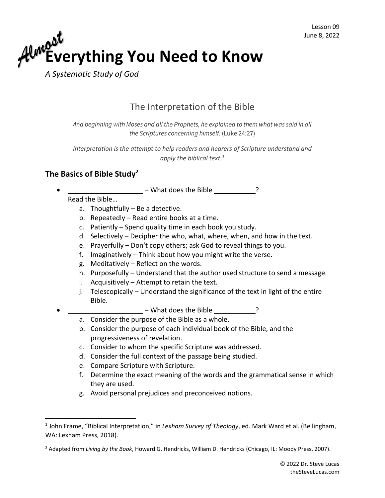

*A Systematic Study of God*

## The Interpretation of the Bible

*And beginning with Moses and all the Prophets, he explained to them what was said in all the Scriptures concerning himself.* (Luke 24:27)

*Interpretation is the attempt to help readers and hearers of Scripture understand and apply the biblical text.<sup>1</sup>*

## **The Basics of Bible Study<sup>2</sup>**

• What does the Bible \_\_\_\_\_\_\_\_\_\_\_?

Read the Bible…

- a. Thoughtfully Be a detective.
- b. Repeatedly Read entire books at a time.
- c. Patiently Spend quality time in each book you study.
- d. Selectively Decipher the who, what, where, when, and how in the text.
- e. Prayerfully Don't copy others; ask God to reveal things to you.
- f. Imaginatively Think about how you might write the verse.
- g. Meditatively Reflect on the words.
- h. Purposefully Understand that the author used structure to send a message.
- i. Acquisitively Attempt to retain the text.
- j. Telescopically Understand the significance of the text in light of the entire Bible.
	- $-$  What does the Bible  $-$
- a. Consider the purpose of the Bible as a whole.
	- b. Consider the purpose of each individual book of the Bible, and the progressiveness of revelation.
- c. Consider to whom the specific Scripture was addressed.
- d. Consider the full context of the passage being studied.
- e. Compare Scripture with Scripture.
- f. Determine the exact meaning of the words and the grammatical sense in which they are used.
- g. Avoid personal prejudices and preconceived notions.

<sup>1</sup> John Frame, ["Biblical Interpretation,"](https://ref.ly/logosres/lexham-st-ontology?ref=LSTO.BibleInterpretation&off=26&ctx=al+Interpretation%0a+%0a~Interpretation+is+th) in *Lexham Survey of Theology*, ed. Mark Ward et al. (Bellingham, WA: Lexham Press, 2018).

<sup>2</sup> Adapted from *Living by the Book*, Howard G. Hendricks, William D. Hendricks (Chicago, IL: Moody Press, 2007).